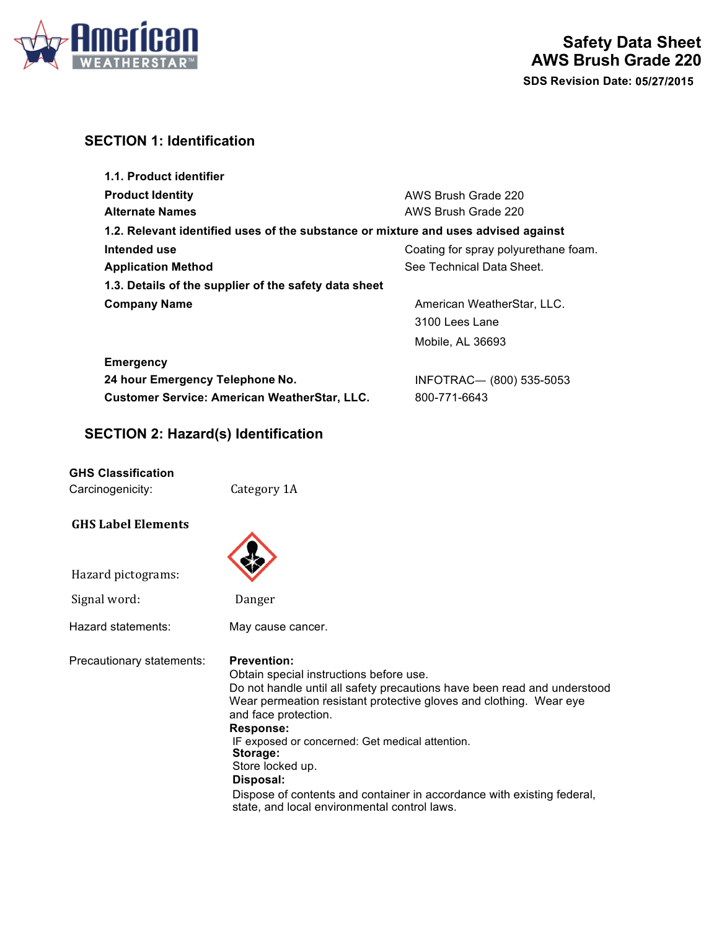

# **SECTION 1: Identification**

| 1.1. Product identifier                                                            |                                      |  |
|------------------------------------------------------------------------------------|--------------------------------------|--|
| <b>Product Identity</b>                                                            | AWS Brush Grade 220                  |  |
| <b>Alternate Names</b>                                                             | AWS Brush Grade 220                  |  |
| 1.2. Relevant identified uses of the substance or mixture and uses advised against |                                      |  |
| Intended use                                                                       | Coating for spray polyurethane foam. |  |
| <b>Application Method</b>                                                          | See Technical Data Sheet.            |  |
| 1.3. Details of the supplier of the safety data sheet                              |                                      |  |
| <b>Company Name</b>                                                                | American WeatherStar, LLC.           |  |
|                                                                                    | 3100 Lees Lane                       |  |
|                                                                                    | Mobile, AL 36693                     |  |

| <b>Emergency</b>                                    |                         |
|-----------------------------------------------------|-------------------------|
| 24 hour Emergency Telephone No.                     | INFOTRAC-(800) 535-5053 |
| <b>Customer Service: American WeatherStar, LLC.</b> | 800-771-6643            |

# **SECTION 2: Hazard(s) Identification**

### **GHS Classification**

| Carcinogenicity: | Category 1A |
|------------------|-------------|
|                  |             |

### **GHS Label Elements**

| i.<br>۰<br>٠ |  |
|--------------|--|
|              |  |
|              |  |

Signal word: Danger

Hazard pictograms:

Hazard statements: May cause cancer.

Precautionary statements: **Prevention:**

Obtain special instructions before use. Do not handle until all safety precautions have been read and understood Wear permeation resistant protective gloves and clothing. Wear eye and face protection. **Response:** IF exposed or concerned: Get medical attention. **Storage:** Store locked up. **Disposal:** Dispose of contents and container in accordance with existing federal, state, and local environmental control laws.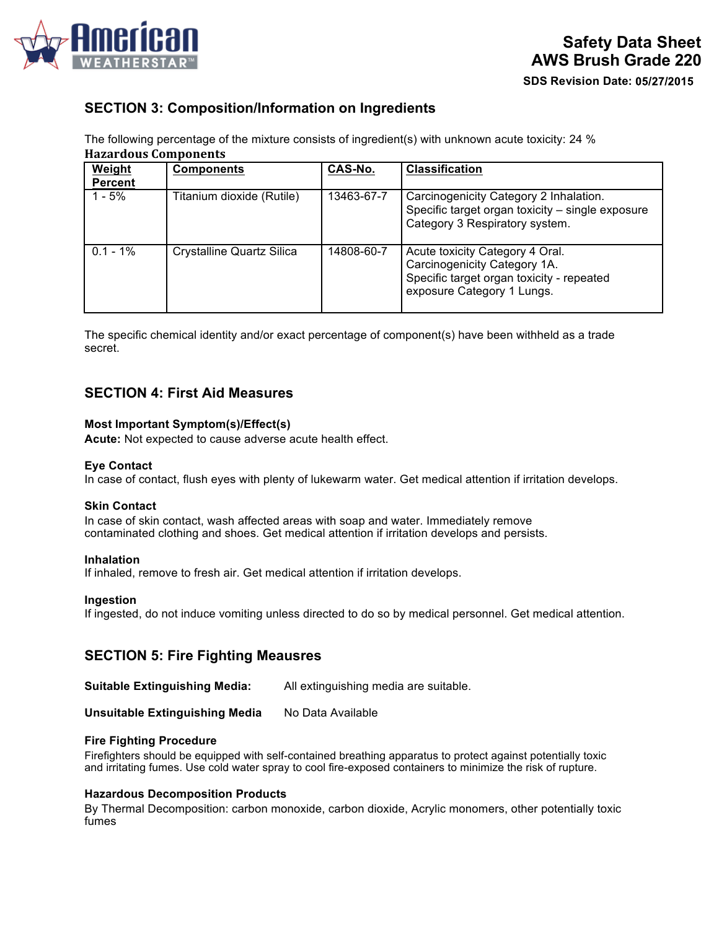

# **SECTION 3: Composition/Information on Ingredients**

The following percentage of the mixture consists of ingredient(s) with unknown acute toxicity: 24 % **Hazardous Components**

| Weight         | <b>Components</b>                | CAS-No.    | <b>Classification</b>                                                                                                                      |
|----------------|----------------------------------|------------|--------------------------------------------------------------------------------------------------------------------------------------------|
| <b>Percent</b> |                                  |            |                                                                                                                                            |
| $1 - 5%$       | Titanium dioxide (Rutile)        | 13463-67-7 | Carcinogenicity Category 2 Inhalation.<br>Specific target organ toxicity - single exposure<br>Category 3 Respiratory system.               |
| $0.1 - 1\%$    | <b>Crystalline Quartz Silica</b> | 14808-60-7 | Acute toxicity Category 4 Oral.<br>Carcinogenicity Category 1A.<br>Specific target organ toxicity - repeated<br>exposure Category 1 Lungs. |

The specific chemical identity and/or exact percentage of component(s) have been withheld as a trade secret.

## **SECTION 4: First Aid Measures**

#### **Most Important Symptom(s)/Effect(s)**

**Acute:** Not expected to cause adverse acute health effect.

#### **Eye Contact**

In case of contact, flush eyes with plenty of lukewarm water. Get medical attention if irritation develops.

#### **Skin Contact**

In case of skin contact, wash affected areas with soap and water. Immediately remove contaminated clothing and shoes. Get medical attention if irritation develops and persists.

#### **Inhalation**

If inhaled, remove to fresh air. Get medical attention if irritation develops.

#### **Ingestion**

If ingested, do not induce vomiting unless directed to do so by medical personnel. Get medical attention.

## **SECTION 5: Fire Fighting Meausres**

**Suitable Extinguishing Media:** All extinguishing media are suitable.

**Unsuitable Extinguishing Media** No Data Available

#### **Fire Fighting Procedure**

Firefighters should be equipped with self-contained breathing apparatus to protect against potentially toxic and irritating fumes. Use cold water spray to cool fire-exposed containers to minimize the risk of rupture.

#### **Hazardous Decomposition Products**

By Thermal Decomposition: carbon monoxide, carbon dioxide, Acrylic monomers, other potentially toxic fumes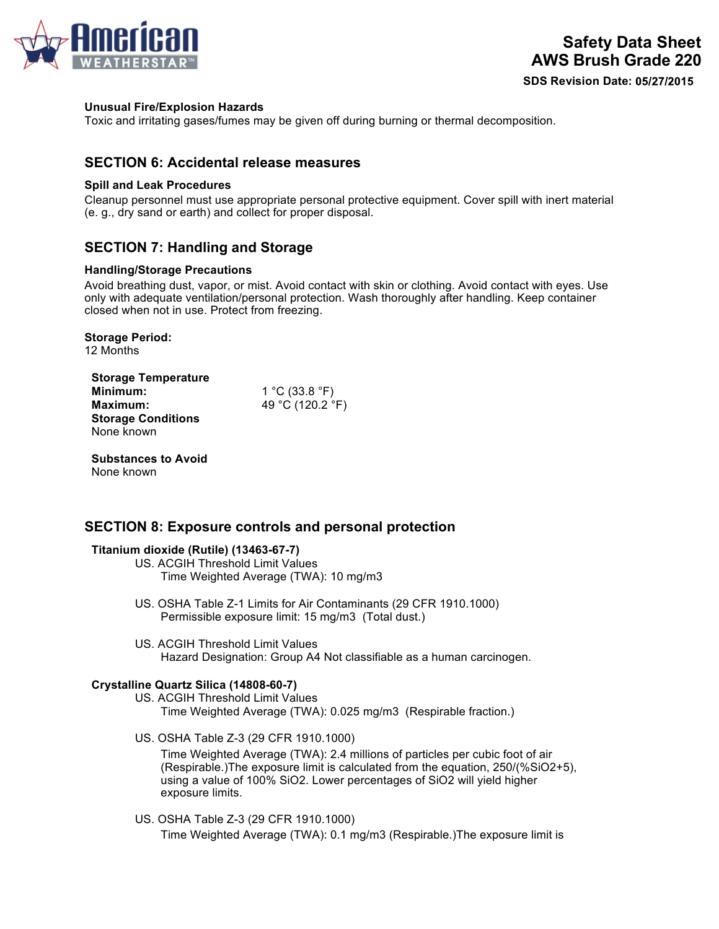

## **Unusual Fire/Explosion Hazards**

Toxic and irritating gases/fumes may be given off during burning or thermal decomposition.

# **SECTION 6: Accidental release measures**

## **Spill and Leak Procedures**

Cleanup personnel must use appropriate personal protective equipment. Cover spill with inert material (e. g., dry sand or earth) and collect for proper disposal.

# **SECTION 7: Handling and Storage**

## **Handling/Storage Precautions**

Avoid breathing dust, vapor, or mist. Avoid contact with skin or clothing. Avoid contact with eyes. Use only with adequate ventilation/personal protection. Wash thoroughly after handling. Keep container closed when not in use. Protect from freezing.

# **Storage Period:**

12 Months

| <b>Storage Temperature</b> |
|----------------------------|
| Minimum:                   |
| Maximum:                   |
| <b>Storage Conditions</b>  |
| None known                 |

**Minimum:** 1 °C (33.8 °F) **Maximum:** 49 °C (120.2 °F)

**Substances to Avoid** None known

# **SECTION 8: Exposure controls and personal protection**

### **Titanium dioxide (Rutile) (13463-67-7)**

- US. ACGIH Threshold Limit Values Time Weighted Average (TWA): 10 mg/m3
- US. OSHA Table Z-1 Limits for Air Contaminants (29 CFR 1910.1000) Permissible exposure limit: 15 mg/m3 (Total dust.)
- US. ACGIH Threshold Limit Values Hazard Designation: Group A4 Not classifiable as a human carcinogen.

### **Crystalline Quartz Silica (14808-60-7)**

- US. ACGIH Threshold Limit Values Time Weighted Average (TWA): 0.025 mg/m3 (Respirable fraction.)
- US. OSHA Table Z-3 (29 CFR 1910.1000)

Time Weighted Average (TWA): 2.4 millions of particles per cubic foot of air (Respirable.)The exposure limit is calculated from the equation, 250/(%SiO2+5), using a value of 100% SiO2. Lower percentages of SiO2 will yield higher exposure limits.

US. OSHA Table Z-3 (29 CFR 1910.1000) Time Weighted Average (TWA): 0.1 mg/m3 (Respirable.)The exposure limit is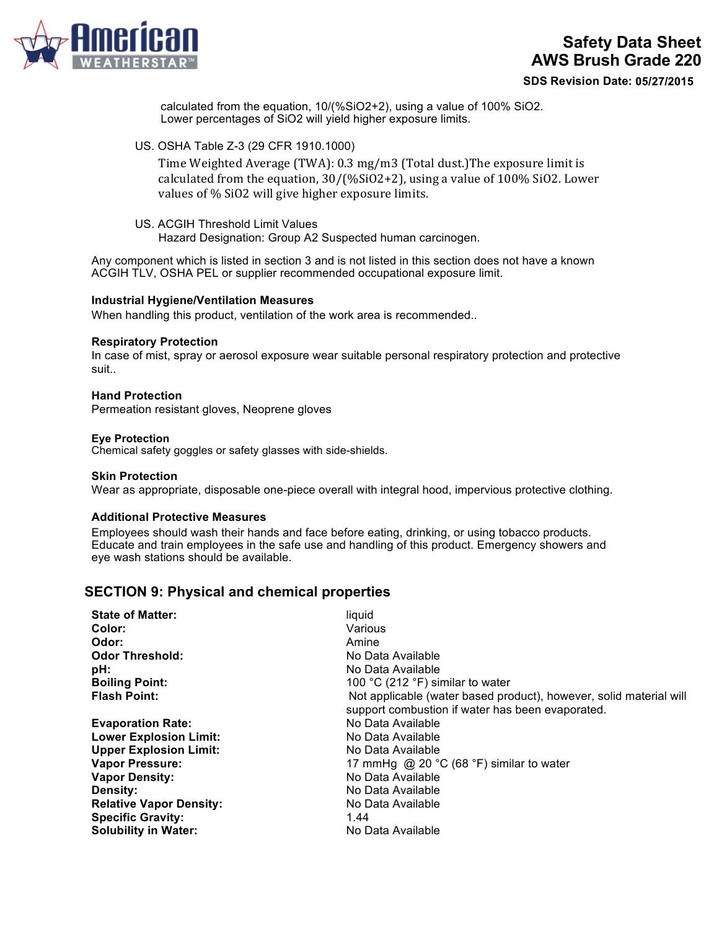

# **Safety Data Sheet AWS Brush Grade 220**

**SDS Revision Date:**

calculated from the equation, 10/(%SiO2+2), using a value of 100% SiO2. Lower percentages of SiO2 will yield higher exposure limits.

US. OSHA Table Z-3 (29 CFR 1910.1000)

Time Weighted Average (TWA): 0.3 mg/m3 (Total dust.)The exposure limit is calculated from the equation,  $30/$  (% $SiO2+2$ ), using a value of 100%  $SiO2$ . Lower values of % SiO2 will give higher exposure limits.

US. ACGIH Threshold Limit Values Hazard Designation: Group A2 Suspected human carcinogen.

Any component which is listed in section 3 and is not listed in this section does not have a known ACGIH TLV, OSHA PEL or supplier recommended occupational exposure limit.

#### **Industrial Hygiene/Ventilation Measures**

When handling this product, ventilation of the work area is recommended..

#### **Respiratory Protection**

In case of mist, spray or aerosol exposure wear suitable personal respiratory protection and protective suit..

#### **Hand Protection**

Permeation resistant gloves, Neoprene gloves

#### **Eye Protection**

Chemical safety goggles or safety glasses with side-shields.

#### **Skin Protection**

Wear as appropriate, disposable one-piece overall with integral hood, impervious protective clothing.

#### **Additional Protective Measures**

Employees should wash their hands and face before eating, drinking, or using tobacco products. Educate and train employees in the safe use and handling of this product. Emergency showers and eye wash stations should be available.

## **SECTION 9: Physical and chemical properties**

| liquid                                                             |
|--------------------------------------------------------------------|
| Various                                                            |
| Amine                                                              |
| No Data Available                                                  |
| No Data Available                                                  |
| 100 °C (212 °F) similar to water                                   |
| Not applicable (water based product), however, solid material will |
| support combustion if water has been evaporated.                   |
| No Data Available                                                  |
| No Data Available                                                  |
| No Data Available                                                  |
| 17 mmHg @ 20 $\degree$ C (68 $\degree$ F) similar to water         |
| No Data Available                                                  |
| No Data Available                                                  |
| No Data Available                                                  |
| 1.44                                                               |
| No Data Available                                                  |
|                                                                    |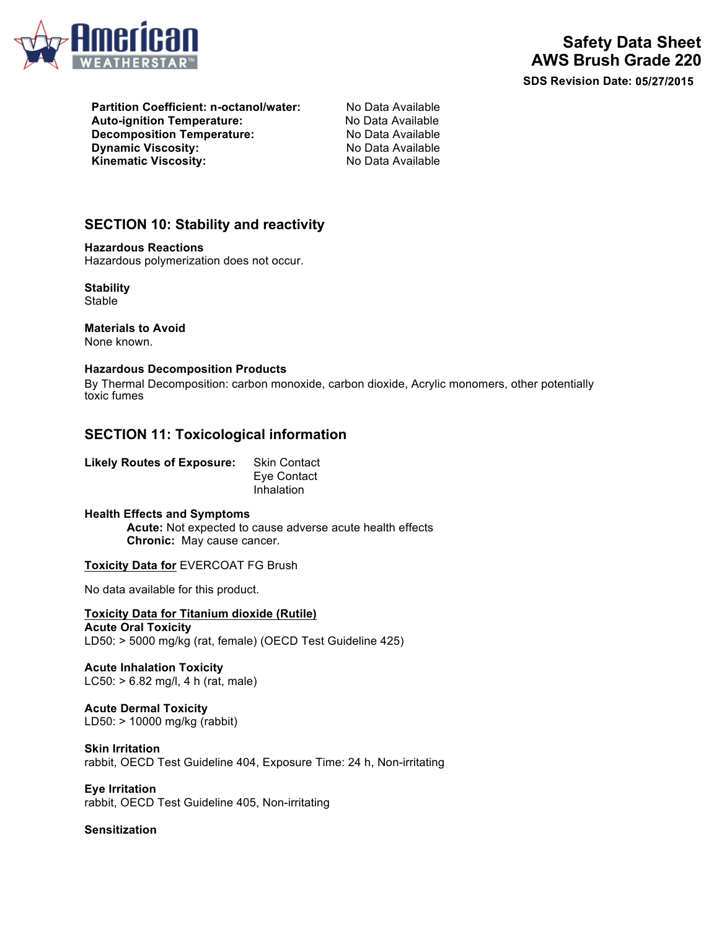

**SDS Revision Date:**

**Partition Coefficient: n-octanol/water:** No Data Available **Auto-ignition Temperature:** No Data Available **Decomposition Temperature:** No Data Available **Dynamic Viscosity:** No Data Available Kinematic Viscosity: No Data Available

# **SECTION 10: Stability and reactivity**

**Hazardous Reactions** Hazardous polymerization does not occur.

**Stability** Stable

**Materials to Avoid** None known.

#### **Hazardous Decomposition Products**

By Thermal Decomposition: carbon monoxide, carbon dioxide, Acrylic monomers, other potentially toxic fumes

## **SECTION 11: Toxicological information**

**Likely Routes of Exposure:** Skin Contact

Eye Contact Inhalation

**Health Effects and Symptoms Acute:** Not expected to cause adverse acute health effects **Chronic:** May cause cancer.

**Toxicity Data for** EVERCOAT FG Brush

No data available for this product.

**Toxicity Data for Titanium dioxide (Rutile) Acute Oral Toxicity** LD50: > 5000 mg/kg (rat, female) (OECD Test Guideline 425)

**Acute Inhalation Toxicity** LC50: > 6.82 mg/l, 4 h (rat, male)

**Acute Dermal Toxicity** LD50: > 10000 mg/kg (rabbit)

**Skin Irritation** rabbit, OECD Test Guideline 404, Exposure Time: 24 h, Non-irritating

**Eye Irritation** rabbit, OECD Test Guideline 405, Non-irritating

**Sensitization**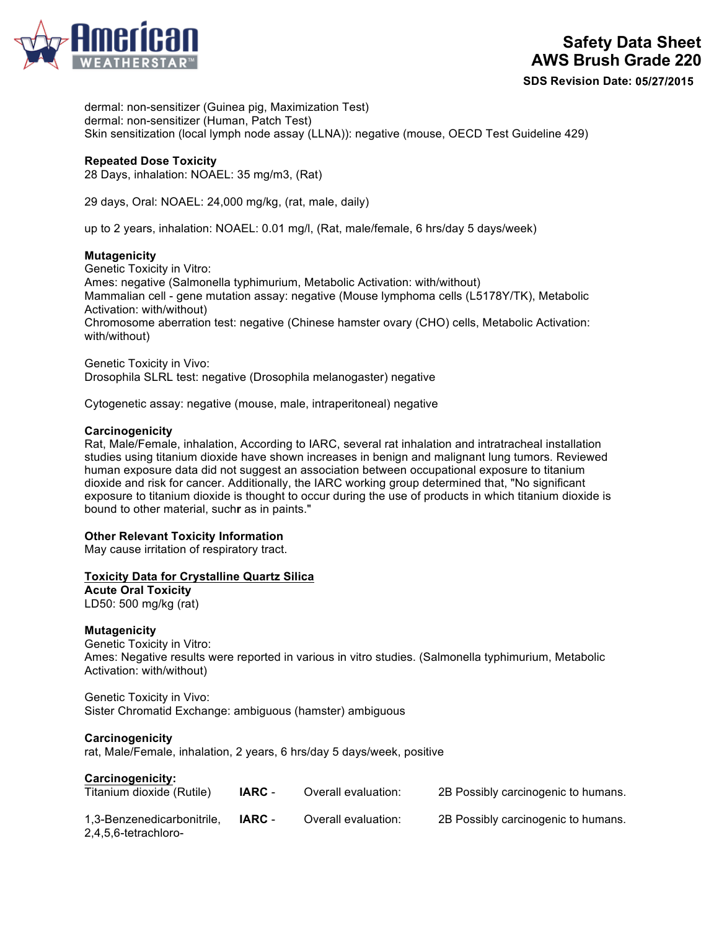

**SDS Revision Date:**

dermal: non-sensitizer (Guinea pig, Maximization Test) dermal: non-sensitizer (Human, Patch Test) Skin sensitization (local lymph node assay (LLNA)): negative (mouse, OECD Test Guideline 429)

#### **Repeated Dose Toxicity**

28 Days, inhalation: NOAEL: 35 mg/m3, (Rat)

29 days, Oral: NOAEL: 24,000 mg/kg, (rat, male, daily)

up to 2 years, inhalation: NOAEL: 0.01 mg/l, (Rat, male/female, 6 hrs/day 5 days/week)

#### **Mutagenicity**

Genetic Toxicity in Vitro: Ames: negative (Salmonella typhimurium, Metabolic Activation: with/without) Mammalian cell - gene mutation assay: negative (Mouse lymphoma cells (L5178Y/TK), Metabolic Activation: with/without) Chromosome aberration test: negative (Chinese hamster ovary (CHO) cells, Metabolic Activation: with/without)

Genetic Toxicity in Vivo: Drosophila SLRL test: negative (Drosophila melanogaster) negative

Cytogenetic assay: negative (mouse, male, intraperitoneal) negative

#### **Carcinogenicity**

Rat, Male/Female, inhalation, According to IARC, several rat inhalation and intratracheal installation studies using titanium dioxide have shown increases in benign and malignant lung tumors. Reviewed human exposure data did not suggest an association between occupational exposure to titanium dioxide and risk for cancer. Additionally, the IARC working group determined that, "No significant exposure to titanium dioxide is thought to occur during the use of products in which titanium dioxide is bound to other material, such**r** as in paints."

#### **Other Relevant Toxicity Information**

May cause irritation of respiratory tract.

#### **Toxicity Data for Crystalline Quartz Silica**

**Acute Oral Toxicity** LD50: 500 mg/kg (rat)

#### **Mutagenicity**

Genetic Toxicity in Vitro: Ames: Negative results were reported in various in vitro studies. (Salmonella typhimurium, Metabolic Activation: with/without)

#### Genetic Toxicity in Vivo:

Sister Chromatid Exchange: ambiguous (hamster) ambiguous

#### **Carcinogenicity**

rat, Male/Female, inhalation, 2 years, 6 hrs/day 5 days/week, positive

#### **Carcinogenicity:**

| Titanium dioxide (Rutile)                          | IARC - | Overall evaluation: | 2B Possibly carcinogenic to humans. |
|----------------------------------------------------|--------|---------------------|-------------------------------------|
| 1,3-Benzenedicarbonitrile,<br>2,4,5,6-tetrachloro- | IARC - | Overall evaluation: | 2B Possibly carcinogenic to humans. |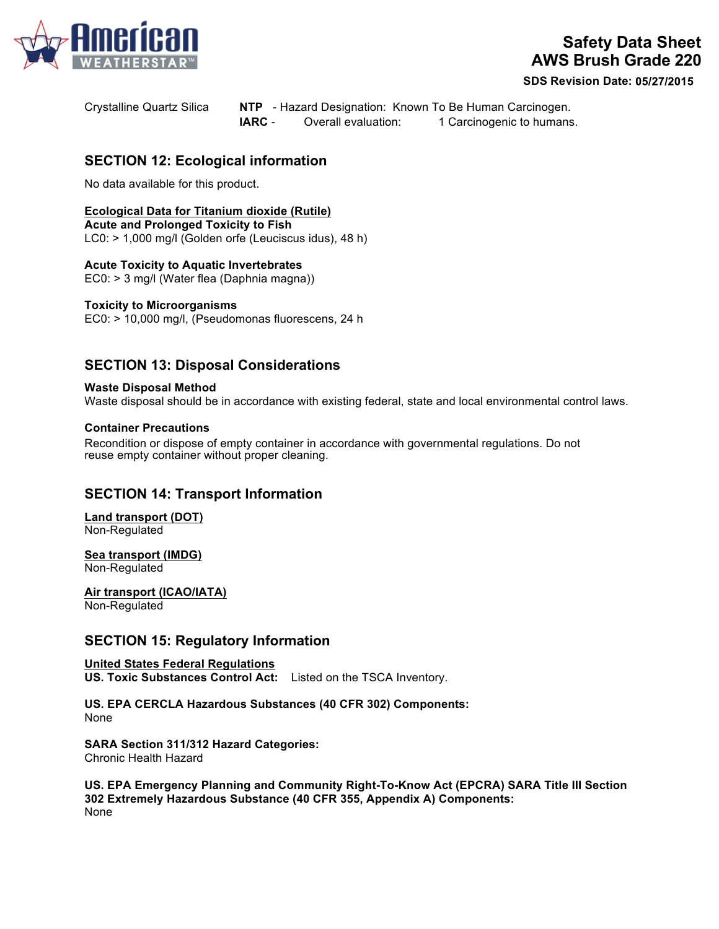

# **Safety Data Sheet AWS Brush Grade 220**

**SDS Revision Date:**

Crystalline Quartz Silica **NTP** - Hazard Designation: Known To Be Human Carcinogen. **IARC** - Overall evaluation: 1 Carcinogenic to humans.

# **SECTION 12: Ecological information**

No data available for this product.

# **Ecological Data for Titanium dioxide (Rutile)**

**Acute and Prolonged Toxicity to Fish** LC0: > 1,000 mg/l (Golden orfe (Leuciscus idus), 48 h)

### **Acute Toxicity to Aquatic Invertebrates**

EC0: > 3 mg/l (Water flea (Daphnia magna))

### **Toxicity to Microorganisms**

EC0: > 10,000 mg/l, (Pseudomonas fluorescens, 24 h

# **SECTION 13: Disposal Considerations**

### **Waste Disposal Method**

Waste disposal should be in accordance with existing federal, state and local environmental control laws.

#### **Container Precautions**

Recondition or dispose of empty container in accordance with governmental regulations. Do not reuse empty container without proper cleaning.

# **SECTION 14: Transport Information**

**Land transport (DOT)**  Non-Regulated

**Sea transport (IMDG)**  Non-Regulated

**Air transport (ICAO/IATA)**  Non-Regulated

## **SECTION 15: Regulatory Information**

**United States Federal Regulations US. Toxic Substances Control Act:** Listed on the TSCA Inventory.

**US. EPA CERCLA Hazardous Substances (40 CFR 302) Components:** None

**SARA Section 311/312 Hazard Categories:** Chronic Health Hazard

**US. EPA Emergency Planning and Community Right-To-Know Act (EPCRA) SARA Title III Section 302 Extremely Hazardous Substance (40 CFR 355, Appendix A) Components:** None